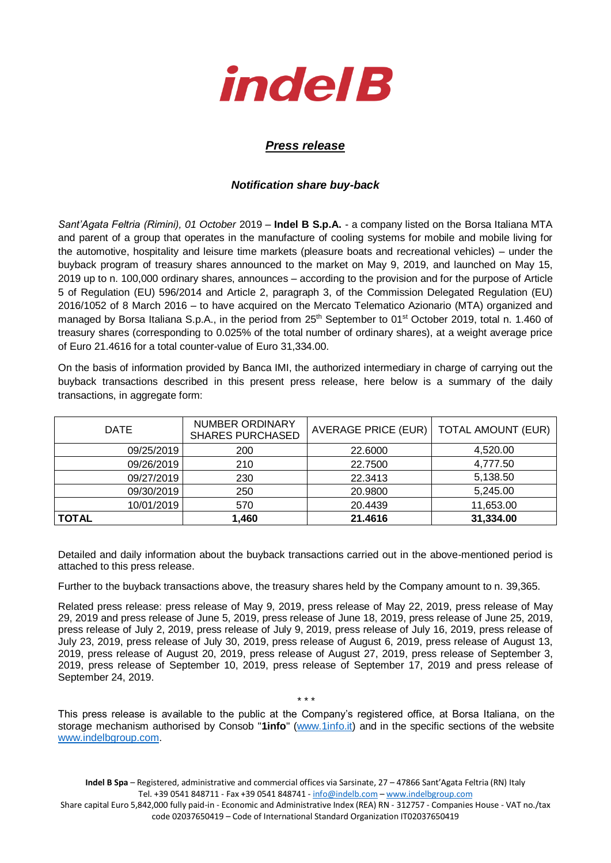

## *Press release*

## *Notification share buy-back*

*Sant'Agata Feltria (Rimini), 01 October* 2019 – **Indel B S.p.A.** - a company listed on the Borsa Italiana MTA and parent of a group that operates in the manufacture of cooling systems for mobile and mobile living for the automotive, hospitality and leisure time markets (pleasure boats and recreational vehicles) – under the buyback program of treasury shares announced to the market on May 9, 2019, and launched on May 15, 2019 up to n. 100,000 ordinary shares, announces – according to the provision and for the purpose of Article 5 of Regulation (EU) 596/2014 and Article 2, paragraph 3, of the Commission Delegated Regulation (EU) 2016/1052 of 8 March 2016 – to have acquired on the Mercato Telematico Azionario (MTA) organized and managed by Borsa Italiana S.p.A., in the period from 25<sup>th</sup> September to 01<sup>st</sup> October 2019, total n. 1.460 of treasury shares (corresponding to 0.025% of the total number of ordinary shares), at a weight average price of Euro 21.4616 for a total counter-value of Euro 31,334.00.

On the basis of information provided by Banca IMI, the authorized intermediary in charge of carrying out the buyback transactions described in this present press release, here below is a summary of the daily transactions, in aggregate form:

| <b>DATE</b> | <b>NUMBER ORDINARY</b><br><b>SHARES PURCHASED</b> | AVERAGE PRICE (EUR)   TOTAL AMOUNT (EUR) |           |
|-------------|---------------------------------------------------|------------------------------------------|-----------|
| 09/25/2019  | 200                                               | 22,6000                                  | 4.520.00  |
| 09/26/2019  | 210                                               | 22.7500                                  | 4,777.50  |
| 09/27/2019  | 230                                               | 22.3413                                  | 5,138.50  |
| 09/30/2019  | 250                                               | 20.9800                                  | 5,245.00  |
| 10/01/2019  | 570                                               | 20.4439                                  | 11,653.00 |
| TOTAL       | 1,460                                             | 21.4616                                  | 31,334.00 |

Detailed and daily information about the buyback transactions carried out in the above-mentioned period is attached to this press release.

Further to the buyback transactions above, the treasury shares held by the Company amount to n. 39,365.

Related press release: press release of May 9, 2019, press release of May 22, 2019, press release of May 29, 2019 and press release of June 5, 2019, press release of June 18, 2019, press release of June 25, 2019, press release of July 2, 2019, press release of July 9, 2019, press release of July 16, 2019, press release of July 23, 2019, press release of July 30, 2019, press release of August 6, 2019, press release of August 13, 2019, press release of August 20, 2019, press release of August 27, 2019, press release of September 3, 2019, press release of September 10, 2019, press release of September 17, 2019 and press release of September 24, 2019.

\* \* \*

This press release is available to the public at the Company's registered office, at Borsa Italiana, on the storage mechanism authorised by Consob "**1info**" [\(www.1info.it\)](file:///C:/Users/ddelietovollaro/AppData/Local/Microsoft/Windows/INetCache/Content.Outlook/T87B94UR/www.1info.it) and in the specific sections of the website [www.indelbgroup.com.](http://www.indelbgroup.com/)

**Indel B Spa** – Registered, administrative and commercial offices via Sarsinate, 27 – 47866 Sant'Agata Feltria (RN) Italy Tel. +39 0541 848711 - Fax +39 0541 848741 - [info@indelb.com](mailto:info@indelb.com) – [www.indelbgroup.com](http://www.indelbgroup.com/)

Share capital Euro 5,842,000 fully paid-in - Economic and Administrative Index (REA) RN - 312757 - Companies House - VAT no./tax code 02037650419 – Code of International Standard Organization IT02037650419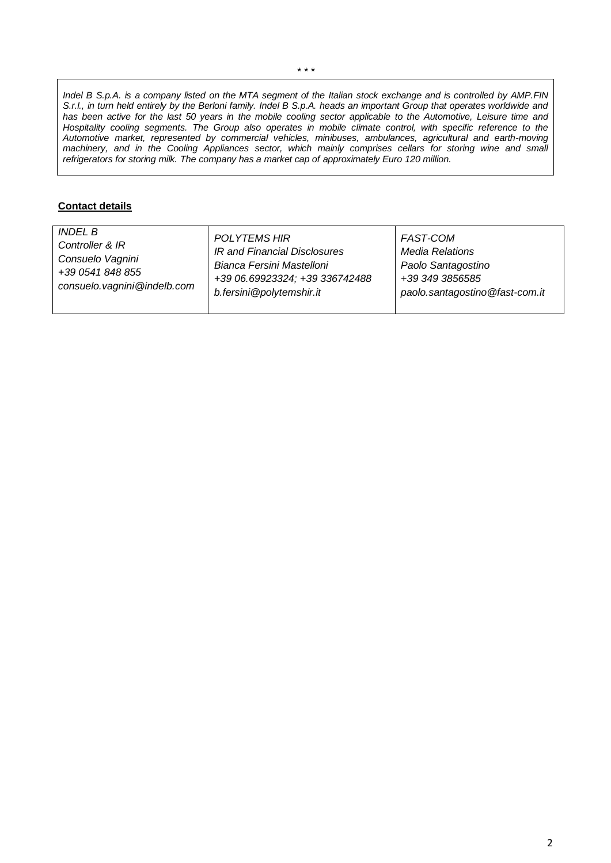*Indel B S.p.A. is a company listed on the MTA segment of the Italian stock exchange and is controlled by AMP.FIN S.r.l., in turn held entirely by the Berloni family. Indel B S.p.A. heads an important Group that operates worldwide and has been active for the last 50 years in the mobile cooling sector applicable to the Automotive, Leisure time and Hospitality cooling segments. The Group also operates in mobile climate control, with specific reference to the Automotive market, represented by commercial vehicles, minibuses, ambulances, agricultural and earth-moving machinery, and in the Cooling Appliances sector, which mainly comprises cellars for storing wine and small refrigerators for storing milk. The company has a market cap of approximately Euro 120 million.*

## **Contact details**

| <i>INDEL B</i>                | <b>POLYTEMS HIR</b>            | FAST-COM                       |
|-------------------------------|--------------------------------|--------------------------------|
| Controller & IR               | IR and Financial Disclosures   | <b>Media Relations</b>         |
| Consuelo Vagnini              | Bianca Fersini Mastelloni      | Paolo Santagostino             |
| +39 0541 848 855              | +39 06.69923324; +39 336742488 | +39 349 3856585                |
| consuelo. vagnini @indelb.com | b.fersini@polytemshir.it       | paolo.santagostino@fast-com.it |